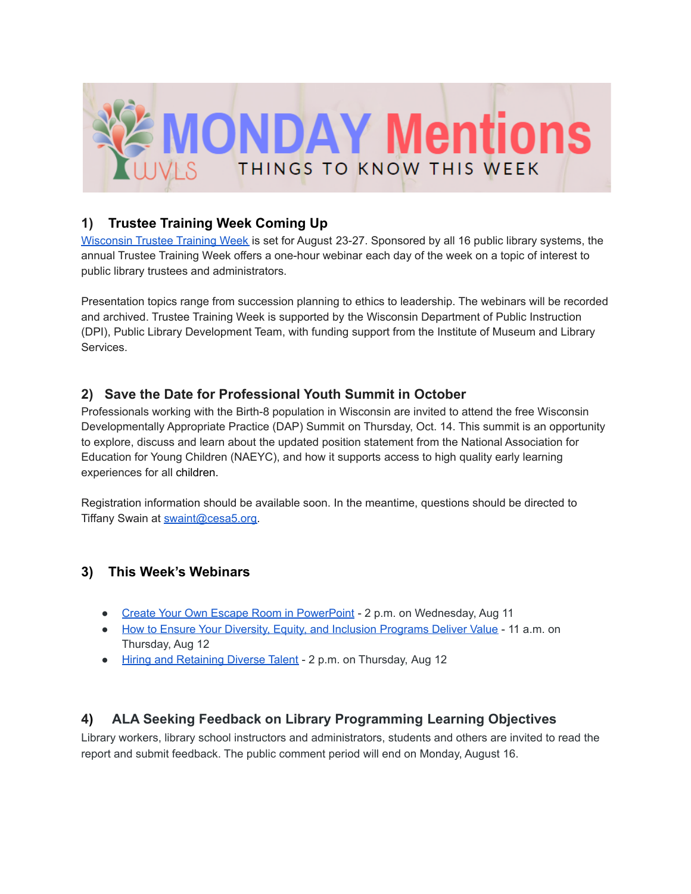

### **1) Trustee Training Week Coming Up**

[Wisconsin](https://www.wistrusteetraining.com/) Trustee Training Week is set for August 23-27. Sponsored by all 16 public library systems, the annual Trustee Training Week offers a one-hour webinar each day of the week on a topic of interest to public library trustees and administrators.

Presentation topics range from succession planning to ethics to leadership. The webinars will be recorded and archived. Trustee Training Week is supported by the Wisconsin Department of Public Instruction (DPI), Public Library Development Team, with funding support from the Institute of Museum and Library Services.

## **2) Save the Date for Professional Youth Summit in October**

Professionals working with the Birth-8 population in Wisconsin are invited to attend the free Wisconsin Developmentally Appropriate Practice (DAP) Summit on Thursday, Oct. 14. This summit is an opportunity to explore, discuss and learn about the updated position statement from the National Association for Education for Young Children (NAEYC), and how it supports access to high quality early learning experiences for all children.

Registration information should be available soon. In the meantime, questions should be directed to Tiffany Swain at [swaint@cesa5.org.](mailto:swaint@cesa5.org)

# **3) This Week's Webinars**

- Create Your Own Escape Room in [PowerPoint](https://nam04.safelinks.protection.outlook.com/?url=https%3A%2F%2Fwww.trainingmagnetwork.com%2Fevents%2F2891&data=04%7C01%7CCindy.Fesemyer%40dpi.wi.gov%7C453a4cc91e554ae88ca608d955c58094%7C1654d14032604903b5b718450051ce16%7C1%7C0%7C637635129039394308%7CUnknown%7CTWFpbGZsb3d8eyJWIjoiMC4wLjAwMDAiLCJQIjoiV2luMzIiLCJBTiI6Ik1haWwiLCJXVCI6Mn0%3D%7C1000&sdata=JYUVGCG7vze9xSttgd%2BG09jkL40yjPmQS25MiOsuvSI%3D&reserved=0) 2 p.m. on Wednesday, Aug 11
- How to Ensure Your Diversity, Equity, and Inclusion [Programs](https://nam04.safelinks.protection.outlook.com/?url=https%3A%2F%2Fwww.trainingmagnetwork.com%2Fevents%2F2840&data=04%7C01%7CCindy.Fesemyer%40dpi.wi.gov%7C453a4cc91e554ae88ca608d955c58094%7C1654d14032604903b5b718450051ce16%7C1%7C0%7C637635129039344334%7CUnknown%7CTWFpbGZsb3d8eyJWIjoiMC4wLjAwMDAiLCJQIjoiV2luMzIiLCJBTiI6Ik1haWwiLCJXVCI6Mn0%3D%7C1000&sdata=YyoqVtlDYPRHsbqv5kQ5WAEmd5msUOWuXLROlBeqOpU%3D&reserved=0) Deliver Value 11 a.m. on Thursday, Aug 12
- Hiring and [Retaining](https://nam04.safelinks.protection.outlook.com/?url=https%3A%2F%2Fwww.nonprofitlearninglab.org%2Fwebinarregister&data=04%7C01%7CCindy.Fesemyer%40dpi.wi.gov%7C453a4cc91e554ae88ca608d955c58094%7C1654d14032604903b5b718450051ce16%7C1%7C0%7C637635129039354330%7CUnknown%7CTWFpbGZsb3d8eyJWIjoiMC4wLjAwMDAiLCJQIjoiV2luMzIiLCJBTiI6Ik1haWwiLCJXVCI6Mn0%3D%7C1000&sdata=cx%2Fz9LJu%2BBtmo7DZYbesPjDuLXDT%2B5UA8Ez0vNEXwgE%3D&reserved=0) Diverse Talent 2 p.m. on Thursday, Aug 12

# **4) ALA Seeking Feedback on Library Programming Learning Objectives**

Library workers, library school instructors and administrators, students and others are invited to read the report and submit feedback. The public comment period will end on Monday, August 16.